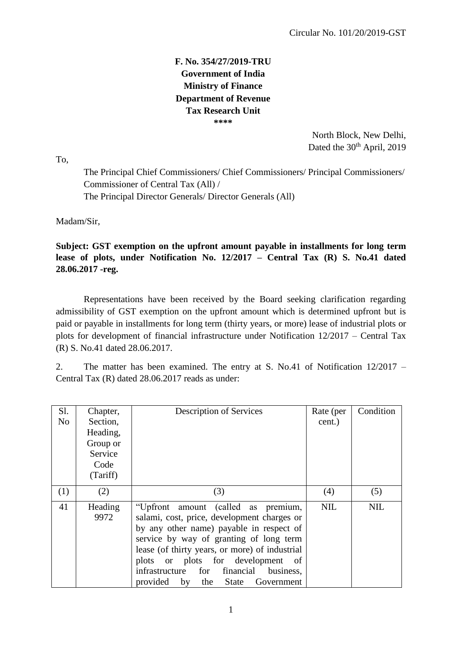## **F. No. 354/27/2019-TRU Government of India Ministry of Finance Department of Revenue Tax Research Unit \*\*\*\***

 North Block, New Delhi, Dated the 30<sup>th</sup> April, 2019

To,

The Principal Chief Commissioners/ Chief Commissioners/ Principal Commissioners/ Commissioner of Central Tax (All) / The Principal Director Generals/ Director Generals (All)

Madam/Sir,

**Subject: GST exemption on the upfront amount payable in installments for long term lease of plots, under Notification No. 12/2017 – Central Tax (R) S. No.41 dated 28.06.2017 -reg.**

Representations have been received by the Board seeking clarification regarding admissibility of GST exemption on the upfront amount which is determined upfront but is paid or payable in installments for long term (thirty years, or more) lease of industrial plots or plots for development of financial infrastructure under Notification 12/2017 – Central Tax (R) S. No.41 dated 28.06.2017.

2. The matter has been examined. The entry at S. No.41 of Notification 12/2017 – Central Tax (R) dated 28.06.2017 reads as under:

| Sl.            | Chapter, | <b>Description of Services</b>                 | Rate (per  | Condition  |
|----------------|----------|------------------------------------------------|------------|------------|
| N <sub>o</sub> | Section, |                                                | cent.)     |            |
|                | Heading, |                                                |            |            |
|                | Group or |                                                |            |            |
|                | Service  |                                                |            |            |
|                | Code     |                                                |            |            |
|                | (Tariff) |                                                |            |            |
| (1)            | (2)      | (3)                                            | (4)        | (5)        |
| 41             | Heading  | "Upfront amount (called as premium,            | <b>NIL</b> | <b>NIL</b> |
|                | 9972     | salami, cost, price, development charges or    |            |            |
|                |          | by any other name) payable in respect of       |            |            |
|                |          | service by way of granting of long term        |            |            |
|                |          | lease (of thirty years, or more) of industrial |            |            |
|                |          | plots or plots for development<br>- of         |            |            |
|                |          | infrastructure for financial<br>business,      |            |            |
|                |          | provided by the State Government               |            |            |